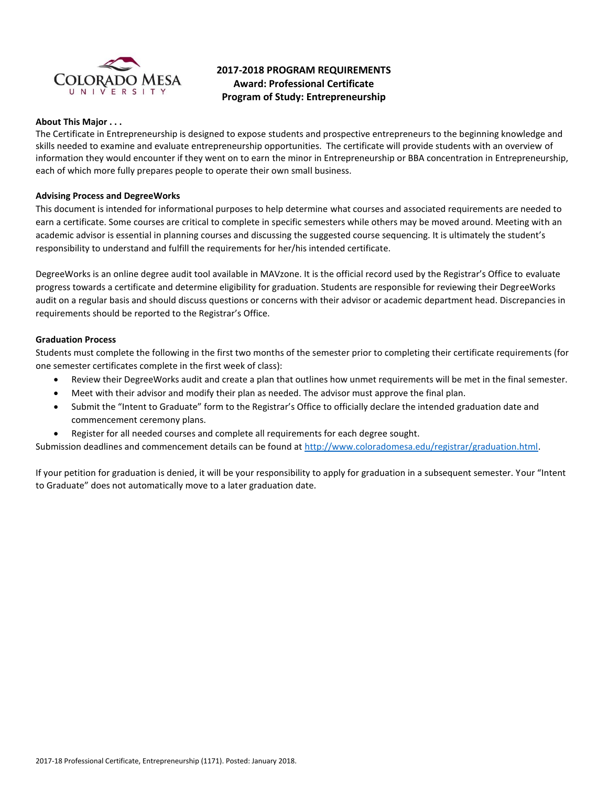

# **2017-2018 PROGRAM REQUIREMENTS Award: Professional Certificate Program of Study: Entrepreneurship**

### **About This Major . . .**

The Certificate in Entrepreneurship is designed to expose students and prospective entrepreneurs to the beginning knowledge and skills needed to examine and evaluate entrepreneurship opportunities. The certificate will provide students with an overview of information they would encounter if they went on to earn the minor in Entrepreneurship or BBA concentration in Entrepreneurship, each of which more fully prepares people to operate their own small business.

### **Advising Process and DegreeWorks**

This document is intended for informational purposes to help determine what courses and associated requirements are needed to earn a certificate. Some courses are critical to complete in specific semesters while others may be moved around. Meeting with an academic advisor is essential in planning courses and discussing the suggested course sequencing. It is ultimately the student's responsibility to understand and fulfill the requirements for her/his intended certificate.

DegreeWorks is an online degree audit tool available in MAVzone. It is the official record used by the Registrar's Office to evaluate progress towards a certificate and determine eligibility for graduation. Students are responsible for reviewing their DegreeWorks audit on a regular basis and should discuss questions or concerns with their advisor or academic department head. Discrepancies in requirements should be reported to the Registrar's Office.

### **Graduation Process**

Students must complete the following in the first two months of the semester prior to completing their certificate requirements (for one semester certificates complete in the first week of class):

- Review their DegreeWorks audit and create a plan that outlines how unmet requirements will be met in the final semester.
- Meet with their advisor and modify their plan as needed. The advisor must approve the final plan.
- Submit the "Intent to Graduate" form to the Registrar's Office to officially declare the intended graduation date and commencement ceremony plans.
- Register for all needed courses and complete all requirements for each degree sought.

Submission deadlines and commencement details can be found at [http://www.coloradomesa.edu/registrar/graduation.html.](http://www.coloradomesa.edu/registrar/graduation.html)

If your petition for graduation is denied, it will be your responsibility to apply for graduation in a subsequent semester. Your "Intent to Graduate" does not automatically move to a later graduation date.